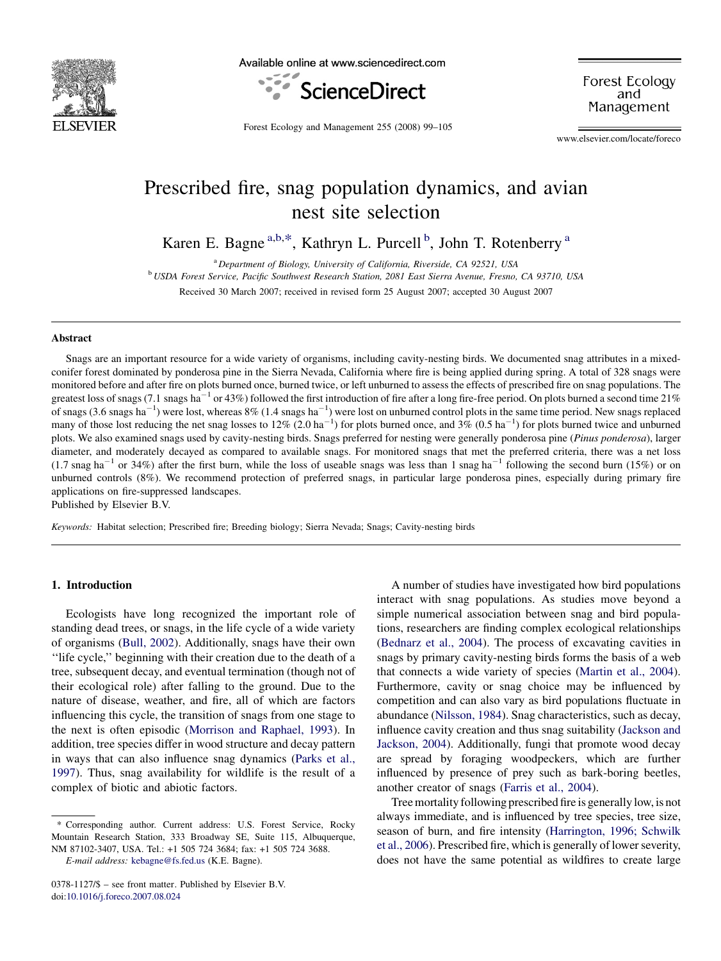

Available online at www.sciencedirect.com



Forest Ecology and Management

Forest Ecology and Management 255 (2008) 99–105

www.elsevier.com/locate/foreco

# Prescribed fire, snag population dynamics, and avian nest site selection

Karen E. Bagne<sup>a,b,\*</sup>, Kathryn L. Purcell<sup>b</sup>, John T. Rotenberry<sup>a</sup>

<sup>a</sup> Department of Biology, University of California, Riverside, CA 92521, USA <sup>b</sup> USDA Forest Service, Pacific Southwest Research Station, 2081 East Sierra Avenue, Fresno, CA 93710, USA Received 30 March 2007; received in revised form 25 August 2007; accepted 30 August 2007

#### **Abstract**

Snags are an important resource for a wide variety of organisms, including cavity-nesting birds. We documented snag attributes in a mixedconifer forest dominated by ponderosa pine in the Sierra Nevada, California where fire is being applied during spring. A total of 328 snags were monitored before and after fire on plots burned once, burned twice, or left unburned to assess the effects of prescribed fire on snag populations. The greatest loss of snags (7.1 snags ha<sup>-1</sup> or 43%) followed the first introduction of fire after a long fire-free period. On plots burned a second time 21% of snags (3.6 snags ha<sup>-1</sup>) were lost, whereas 8% (1.4 snags ha<sup>-1</sup>) were lost on unburned control plots in the same time period. New snags replaced many of those lost reducing the net snag losses to  $12\%$  (2.0 ha<sup>-1</sup>) for plots burned once, and  $3\%$  (0.5 ha<sup>-1</sup>) for plots burned twice and unburned plots. We also examined snags used by cavity-nesting birds. Snags preferred for nesting were generally ponderosa pine (Pinus ponderosa), larger diameter, and moderately decayed as compared to available snags. For monitored snags that met the preferred criteria, there was a net loss (1.7 snag ha<sup>-1</sup> or 34%) after the first burn, while the loss of useable snags was less than 1 snag ha<sup>-1</sup> following the second burn (15%) or on unburned controls (8%). We recommend protection of preferred snags, in particular large ponderosa pines, especially during primary fire applications on fire-suppressed landscapes.

Published by Elsevier B.V.

Keywords: Habitat selection; Prescribed fire; Breeding biology; Sierra Nevada; Snags; Cavity-nesting birds

# 1. Introduction

Ecologists have long recognized the important role of standing dead trees, or snags, in the life cycle of a wide variety of organisms [\(Bull, 2002\)](#page-5-0). Additionally, snags have their own ''life cycle,'' beginning with their creation due to the death of a tree, subsequent decay, and eventual termination (though not of their ecological role) after falling to the ground. Due to the nature of disease, weather, and fire, all of which are factors influencing this cycle, the transition of snags from one stage to the next is often episodic [\(Morrison and Raphael, 1993](#page-6-0)). In addition, tree species differ in wood structure and decay pattern in ways that can also influence snag dynamics [\(Parks et al.,](#page-6-0) [1997](#page-6-0)). Thus, snag availability for wildlife is the result of a complex of biotic and abiotic factors.

A number of studies have investigated how bird populations interact with snag populations. As studies move beyond a simple numerical association between snag and bird populations, researchers are finding complex ecological relationships ([Bednarz et al., 2004\)](#page-5-0). The process of excavating cavities in snags by primary cavity-nesting birds forms the basis of a web that connects a wide variety of species [\(Martin et al., 2004\)](#page-5-0). Furthermore, cavity or snag choice may be influenced by competition and can also vary as bird populations fluctuate in abundance ([Nilsson, 1984\)](#page-6-0). Snag characteristics, such as decay, influence cavity creation and thus snag suitability [\(Jackson and](#page-5-0) [Jackson, 2004\)](#page-5-0). Additionally, fungi that promote wood decay are spread by foraging woodpeckers, which are further influenced by presence of prey such as bark-boring beetles, another creator of snags ([Farris et al., 2004](#page-5-0)).

Tree mortality following prescribed fire is generallylow, is not always immediate, and is influenced by tree species, tree size, season of burn, and fire intensity [\(Harrington, 1996; Schwilk](#page-5-0) [et al., 2006](#page-5-0)). Prescribed fire, which is generally of lower severity, does not have the same potential as wildfires to create large

<sup>\*</sup> Corresponding author. Current address: U.S. Forest Service, Rocky Mountain Research Station, 333 Broadway SE, Suite 115, Albuquerque, NM 87102-3407, USA. Tel.: +1 505 724 3684; fax: +1 505 724 3688.

E-mail address: [kebagne@fs.fed.us](mailto:kebagne@fs.fed.us) (K.E. Bagne).

<sup>0378-1127/\$ –</sup> see front matter. Published by Elsevier B.V. doi:[10.1016/j.foreco.2007.08.024](http://dx.doi.org/10.1016/j.foreco.2007.08.024)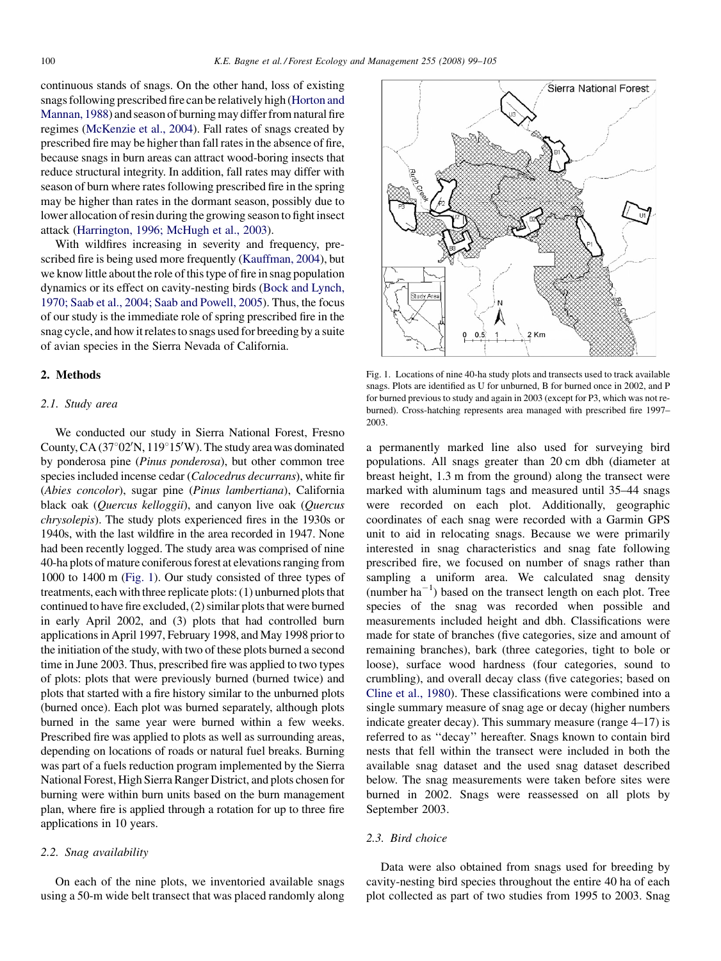continuous stands of snags. On the other hand, loss of existing snags following prescribed fire can be relatively high [\(Horton and](#page-5-0) [Mannan, 1988\)](#page-5-0) and season of burning may differ from natural fire regimes [\(McKenzie et al., 2004](#page-6-0)). Fall rates of snags created by prescribed fire may be higher than fall rates in the absence of fire, because snags in burn areas can attract wood-boring insects that reduce structural integrity. In addition, fall rates may differ with season of burn where rates following prescribed fire in the spring may be higher than rates in the dormant season, possibly due to lower allocation of resin during the growing season to fight insect attack ([Harrington, 1996; McHugh et al., 2003\)](#page-5-0).

With wildfires increasing in severity and frequency, prescribed fire is being used more frequently [\(Kauffman, 2004](#page-5-0)), but we know little about the role of this type of fire in snag population dynamics or its effect on cavity-nesting birds [\(Bock and Lynch,](#page-5-0) [1970; Saab et al., 2004; Saab and Powell, 2005](#page-5-0)). Thus, the focus of our study is the immediate role of spring prescribed fire in the snag cycle, and how it relates to snags used for breeding by a suite of avian species in the Sierra Nevada of California.

#### 2. Methods

# 2.1. Study area

We conducted our study in Sierra National Forest, Fresno County, CA  $(37°02'N, 119°15'W)$ . The study area was dominated by ponderosa pine (Pinus ponderosa), but other common tree species included incense cedar (Calocedrus decurrans), white fir (Abies concolor), sugar pine (Pinus lambertiana), California black oak (Quercus kelloggii), and canyon live oak (Quercus chrysolepis). The study plots experienced fires in the 1930s or 1940s, with the last wildfire in the area recorded in 1947. None had been recently logged. The study area was comprised of nine 40-ha plots of mature coniferous forest at elevations ranging from 1000 to 1400 m (Fig. 1). Our study consisted of three types of treatments, each with three replicate plots: (1) unburned plots that continued to have fire excluded, (2) similar plots that were burned in early April 2002, and (3) plots that had controlled burn applications in April 1997, February 1998, and May 1998 prior to the initiation of the study, with two of these plots burned a second time in June 2003. Thus, prescribed fire was applied to two types of plots: plots that were previously burned (burned twice) and plots that started with a fire history similar to the unburned plots (burned once). Each plot was burned separately, although plots burned in the same year were burned within a few weeks. Prescribed fire was applied to plots as well as surrounding areas, depending on locations of roads or natural fuel breaks. Burning was part of a fuels reduction program implemented by the Sierra National Forest, High Sierra Ranger District, and plots chosen for burning were within burn units based on the burn management plan, where fire is applied through a rotation for up to three fire applications in 10 years.

### 2.2. Snag availability

On each of the nine plots, we inventoried available snags using a 50-m wide belt transect that was placed randomly along



Fig. 1. Locations of nine 40-ha study plots and transects used to track available snags. Plots are identified as U for unburned, B for burned once in 2002, and P for burned previous to study and again in 2003 (except for P3, which was not reburned). Cross-hatching represents area managed with prescribed fire 1997– 2003.

a permanently marked line also used for surveying bird populations. All snags greater than 20 cm dbh (diameter at breast height, 1.3 m from the ground) along the transect were marked with aluminum tags and measured until 35–44 snags were recorded on each plot. Additionally, geographic coordinates of each snag were recorded with a Garmin GPS unit to aid in relocating snags. Because we were primarily interested in snag characteristics and snag fate following prescribed fire, we focused on number of snags rather than sampling a uniform area. We calculated snag density  $(number ha<sup>-1</sup>)$  based on the transect length on each plot. Tree species of the snag was recorded when possible and measurements included height and dbh. Classifications were made for state of branches (five categories, size and amount of remaining branches), bark (three categories, tight to bole or loose), surface wood hardness (four categories, sound to crumbling), and overall decay class (five categories; based on [Cline et al., 1980](#page-5-0)). These classifications were combined into a single summary measure of snag age or decay (higher numbers indicate greater decay). This summary measure (range 4–17) is referred to as ''decay'' hereafter. Snags known to contain bird nests that fell within the transect were included in both the available snag dataset and the used snag dataset described below. The snag measurements were taken before sites were burned in 2002. Snags were reassessed on all plots by September 2003.

#### 2.3. Bird choice

Data were also obtained from snags used for breeding by cavity-nesting bird species throughout the entire 40 ha of each plot collected as part of two studies from 1995 to 2003. Snag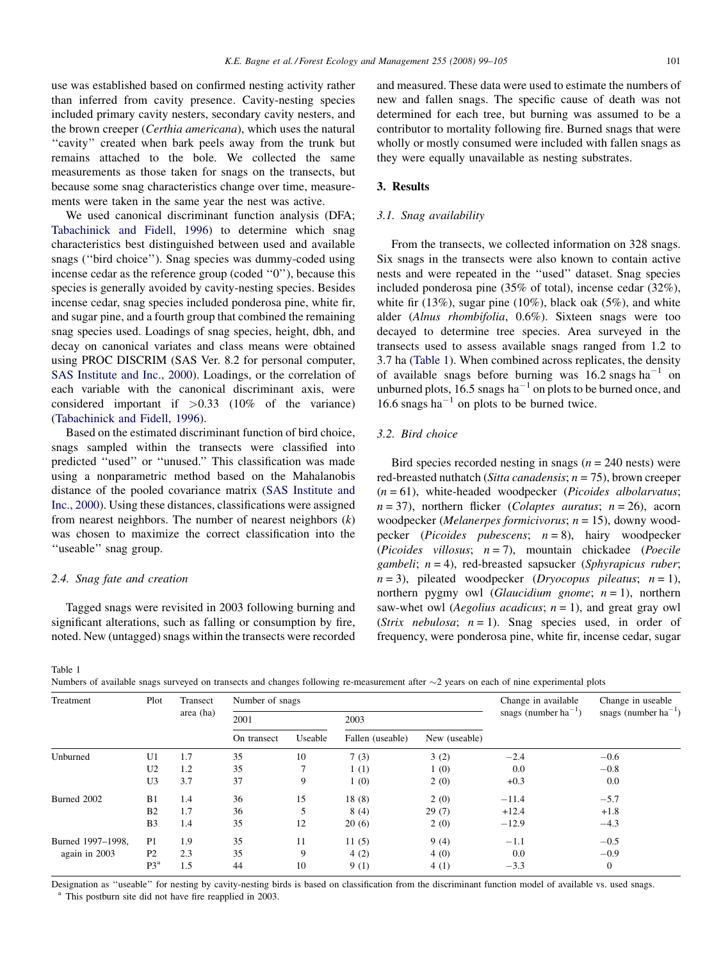<span id="page-2-0"></span>use was established based on confirmed nesting activity rather than inferred from cavity presence. Cavity-nesting species included primary cavity nesters, secondary cavity nesters, and the brown creeper (Certhia americana), which uses the natural "cavity" created when bark peels away from the trunk but remains attached to the bole. We collected the same measurements as those taken for snags on the transects, but because some snag characteristics change over time, measurements were taken in the same year the nest was active.

We used canonical discriminant function analysis (DFA; [Tabachinick and Fidell, 1996](#page-6-0)) to determine which snag characteristics best distinguished between used and available snags (''bird choice''). Snag species was dummy-coded using incense cedar as the reference group (coded ''0''), because this species is generally avoided by cavity-nesting species. Besides incense cedar, snag species included ponderosa pine, white fir, and sugar pine, and a fourth group that combined the remaining snag species used. Loadings of snag species, height, dbh, and decay on canonical variates and class means were obtained using PROC DISCRIM (SAS Ver. 8.2 for personal computer, [SAS Institute and Inc., 2000](#page-6-0)). Loadings, or the correlation of each variable with the canonical discriminant axis, were considered important if  $>0.33$  (10% of the variance) ([Tabachinick and Fidell, 1996\)](#page-6-0).

Based on the estimated discriminant function of bird choice, snags sampled within the transects were classified into predicted ''used'' or ''unused.'' This classification was made using a nonparametric method based on the Mahalanobis distance of the pooled covariance matrix ([SAS Institute and](#page-6-0) [Inc., 2000](#page-6-0)). Using these distances, classifications were assigned from nearest neighbors. The number of nearest neighbors  $(k)$ was chosen to maximize the correct classification into the "useable" snag group.

#### 2.4. Snag fate and creation

Tagged snags were revisited in 2003 following burning and significant alterations, such as falling or consumption by fire, noted. New (untagged) snags within the transects were recorded and measured. These data were used to estimate the numbers of new and fallen snags. The specific cause of death was not determined for each tree, but burning was assumed to be a contributor to mortality following fire. Burned snags that were wholly or mostly consumed were included with fallen snags as they were equally unavailable as nesting substrates.

### 3. Results

# 3.1. Snag availability

From the transects, we collected information on 328 snags. Six snags in the transects were also known to contain active nests and were repeated in the ''used'' dataset. Snag species included ponderosa pine (35% of total), incense cedar (32%), white fir  $(13\%)$ , sugar pine  $(10\%)$ , black oak  $(5\%)$ , and white alder (Alnus rhombifolia, 0.6%). Sixteen snags were too decayed to determine tree species. Area surveyed in the transects used to assess available snags ranged from 1.2 to 3.7 ha (Table 1). When combined across replicates, the density of available snags before burning was  $16.2$  snags ha<sup>-1</sup> on unburned plots,  $16.5$  snags ha<sup>-1</sup> on plots to be burned once, and 16.6 snags  $ha^{-1}$  on plots to be burned twice.

### 3.2. Bird choice

Bird species recorded nesting in snags ( $n = 240$  nests) were red-breasted nuthatch (Sitta canadensis;  $n = 75$ ), brown creeper  $(n = 61)$ , white-headed woodpecker (*Picoides albolarvatus*;  $n = 37$ ), northern flicker (Colaptes auratus;  $n = 26$ ), acorn woodpecker (Melanerpes formicivorus;  $n = 15$ ), downy woodpecker (*Picoides pubescens*;  $n = 8$ ), hairy woodpecker (Picoides villosus;  $n = 7$ ), mountain chickadee (Poecile gambeli;  $n = 4$ ), red-breasted sapsucker (Sphyrapicus ruber;  $n = 3$ ), pileated woodpecker (Dryocopus pileatus;  $n = 1$ ), northern pygmy owl (Glaucidium gnome;  $n = 1$ ), northern saw-whet owl (*Aegolius acadicus*;  $n = 1$ ), and great gray owl (Strix nebulosa;  $n = 1$ ). Snag species used, in order of frequency, were ponderosa pine, white fir, incense cedar, sugar

Table 1

Numbers of available snags surveyed on transects and changes following re-measurement after  $\sim$ 2 years on each of nine experimental plots

| Treatment                          | Plot            | Transect<br>area (ha) | Number of snags |         |                  |               | Change in available       | Change in useable         |
|------------------------------------|-----------------|-----------------------|-----------------|---------|------------------|---------------|---------------------------|---------------------------|
|                                    |                 |                       | 2001            |         | 2003             |               | snags (number $ha^{-1}$ ) | snags (number $ha^{-1}$ ) |
|                                    |                 |                       | On transect     | Useable | Fallen (useable) | New (useable) |                           |                           |
| Unburned                           | U1              | 1.7                   | 35              | 10      | 7(3)             | 3(2)          | $-2.4$                    | $-0.6$                    |
|                                    | U <sub>2</sub>  | 1.2                   | 35              | 7       | 1(1)             | 1(0)          | 0.0                       | $-0.8$                    |
|                                    | U <sub>3</sub>  | 3.7                   | 37              | 9       | 1(0)             | 2(0)          | $+0.3$                    | 0.0                       |
| Burned 2002                        | B1              | 1.4                   | 36              | 15      | 18(8)            | 2(0)          | $-11.4$                   | $-5.7$                    |
|                                    | B <sub>2</sub>  | 1.7                   | 36              | 5       | 8(4)             | 29(7)         | $+12.4$                   | $+1.8$                    |
|                                    | B <sub>3</sub>  | 1.4                   | 35              | 12      | 20(6)            | 2(0)          | $-12.9$                   | $-4.3$                    |
| Burned 1997-1998,<br>again in 2003 | P <sub>1</sub>  | 1.9                   | 35              | 11      | 11(5)            | 9(4)          | $-1.1$                    | $-0.5$                    |
|                                    | P <sub>2</sub>  | 2.3                   | 35              | 9       | 4(2)             | 4(0)          | 0.0                       | $-0.9$                    |
|                                    | P3 <sup>a</sup> | 1.5                   | 44              | 10      | 9(1)             | 4(1)          | $-3.3$                    | $\theta$                  |

Designation as "useable" for nesting by cavity-nesting birds is based on classification from the discriminant function model of available vs. used snags.<br><sup>a</sup> This postburn site did not have fire reapplied in 2003.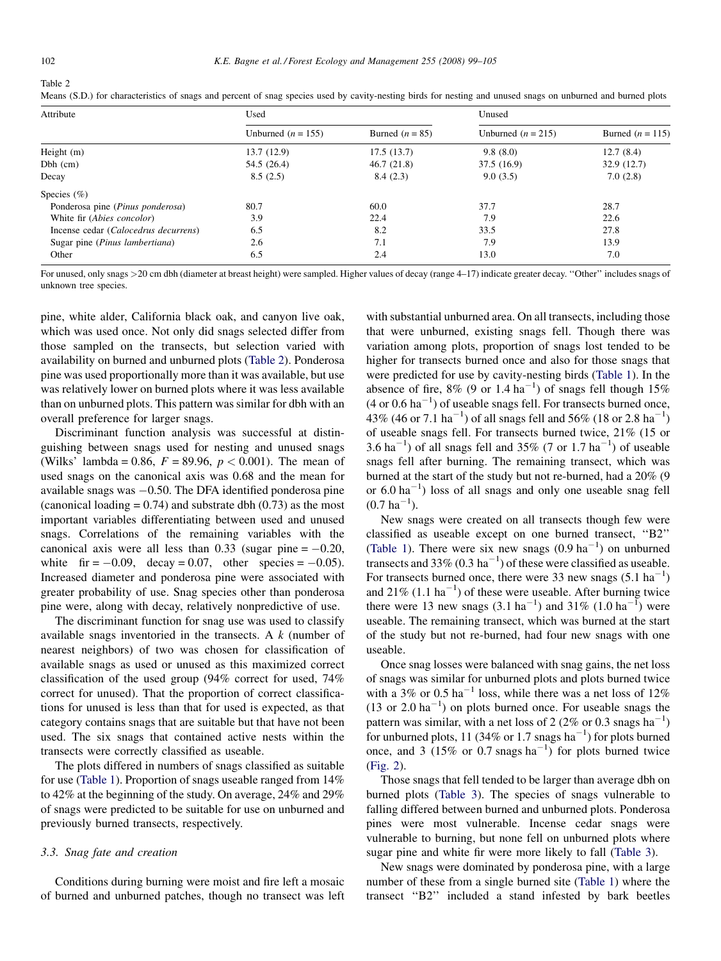Table 2

| Attribute                            | Used                 |                   | Unused               |                    |
|--------------------------------------|----------------------|-------------------|----------------------|--------------------|
|                                      | Unburned $(n = 155)$ | Burned $(n = 85)$ | Unburned $(n = 215)$ | Burned $(n = 115)$ |
| Height $(m)$                         | 13.7(12.9)           | 17.5(13.7)        | 9.8(8.0)             | 12.7(8.4)          |
| $Dbh$ (cm)                           | 54.5 (26.4)          | 46.7(21.8)        | 37.5(16.9)           | 32.9(12.7)         |
| Decay                                | 8.5(2.5)             | 8.4(2.3)          | 9.0(3.5)             | 7.0(2.8)           |
| Species $(\% )$                      |                      |                   |                      |                    |
| Ponderosa pine (Pinus ponderosa)     | 80.7                 | 60.0              | 37.7                 | 28.7               |
| White fir ( <i>Abies concolor</i> )  | 3.9                  | 22.4              | 7.9                  | 22.6               |
| Incense cedar (Calocedrus decurrens) | 6.5                  | 8.2               | 33.5                 | 27.8               |
| Sugar pine (Pinus lambertiana)       | 2.6                  | 7.1               | 7.9                  | 13.9               |
| Other                                | 6.5                  | 2.4               | 13.0                 | 7.0                |

Means (S.D.) for characteristics of snags and percent of snag species used by cavity-nesting birds for nesting and unused snags on unburned and burned plots

For unused, only snags >20 cm dbh (diameter at breast height) were sampled. Higher values of decay (range 4–17) indicate greater decay. "Other" includes snags of unknown tree species.

pine, white alder, California black oak, and canyon live oak, which was used once. Not only did snags selected differ from those sampled on the transects, but selection varied with availability on burned and unburned plots (Table 2). Ponderosa pine was used proportionally more than it was available, but use was relatively lower on burned plots where it was less available than on unburned plots. This pattern was similar for dbh with an overall preference for larger snags.

Discriminant function analysis was successful at distinguishing between snags used for nesting and unused snags (Wilks' lambda = 0.86,  $F = 89.96$ ,  $p < 0.001$ ). The mean of used snags on the canonical axis was 0.68 and the mean for available snags was -0.50. The DFA identified ponderosa pine (canonical loading  $= 0.74$ ) and substrate dbh (0.73) as the most important variables differentiating between used and unused snags. Correlations of the remaining variables with the canonical axis were all less than  $0.33$  (sugar pine  $= -0.20$ , white  $\text{fir} = -0.09$ ,  $\text{decay} = 0.07$ , other species  $= -0.05$ ). Increased diameter and ponderosa pine were associated with greater probability of use. Snag species other than ponderosa pine were, along with decay, relatively nonpredictive of use.

The discriminant function for snag use was used to classify available snags inventoried in the transects. A k (number of nearest neighbors) of two was chosen for classification of available snags as used or unused as this maximized correct classification of the used group (94% correct for used, 74% correct for unused). That the proportion of correct classifications for unused is less than that for used is expected, as that category contains snags that are suitable but that have not been used. The six snags that contained active nests within the transects were correctly classified as useable.

The plots differed in numbers of snags classified as suitable for use [\(Table 1\)](#page-2-0). Proportion of snags useable ranged from 14% to 42% at the beginning of the study. On average, 24% and 29% of snags were predicted to be suitable for use on unburned and previously burned transects, respectively.

# 3.3. Snag fate and creation

Conditions during burning were moist and fire left a mosaic of burned and unburned patches, though no transect was left with substantial unburned area. On all transects, including those that were unburned, existing snags fell. Though there was variation among plots, proportion of snags lost tended to be higher for transects burned once and also for those snags that were predicted for use by cavity-nesting birds [\(Table 1](#page-2-0)). In the absence of fire, 8% (9 or  $1.4 \text{ ha}^{-1}$ ) of snags fell though 15%  $(4 \text{ or } 0.6 \text{ ha}^{-1})$  of useable snags fell. For transects burned once, 43% (46 or 7.1 ha<sup>-1</sup>) of all snags fell and 56% (18 or 2.8 ha<sup>-1</sup>) of useable snags fell. For transects burned twice, 21% (15 or 3.6 ha<sup>-1</sup>) of all snags fell and 35% (7 or 1.7 ha<sup>-1</sup>) of useable snags fell after burning. The remaining transect, which was burned at the start of the study but not re-burned, had a 20% (9 or  $6.0 \text{ ha}^{-1}$ ) loss of all snags and only one useable snag fell  $(0.7 \text{ ha}^{-1})$ .

New snags were created on all transects though few were classified as useable except on one burned transect, ''B2'' [\(Table 1\)](#page-2-0). There were six new snags  $(0.9 \text{ ha}^{-1})$  on unburned transects and 33%  $(0.3 \text{ ha}^{-1})$  of these were classified as useable. For transects burned once, there were 33 new snags  $(5.1 \text{ ha}^{-1})$ and  $21\%$  (1.1 ha<sup>-1</sup>) of these were useable. After burning twice there were 13 new snags  $(3.1 \text{ ha}^{-1})$  and  $31\%$   $(1.0 \text{ ha}^{-1})$  were useable. The remaining transect, which was burned at the start of the study but not re-burned, had four new snags with one useable.

Once snag losses were balanced with snag gains, the net loss of snags was similar for unburned plots and plots burned twice with a  $3\%$  or 0.5 ha<sup>-1</sup> loss, while there was a net loss of  $12\%$  $(13 \text{ or } 2.0 \text{ ha}^{-1})$  on plots burned once. For useable snags the pattern was similar, with a net loss of 2 (2% or 0.3 snags  $ha^{-1}$ ) for unburned plots, 11 (34% or 1.7 snags  $ha^{-1}$ ) for plots burned once, and 3  $(15\% \text{ or } 0.7 \text{ snags ha}^{-1})$  for plots burned twice [\(Fig. 2](#page-4-0)).

Those snags that fell tended to be larger than average dbh on burned plots ([Table 3](#page-4-0)). The species of snags vulnerable to falling differed between burned and unburned plots. Ponderosa pines were most vulnerable. Incense cedar snags were vulnerable to burning, but none fell on unburned plots where sugar pine and white fir were more likely to fall ([Table 3](#page-4-0)).

New snags were dominated by ponderosa pine, with a large number of these from a single burned site ([Table 1\)](#page-2-0) where the transect ''B2'' included a stand infested by bark beetles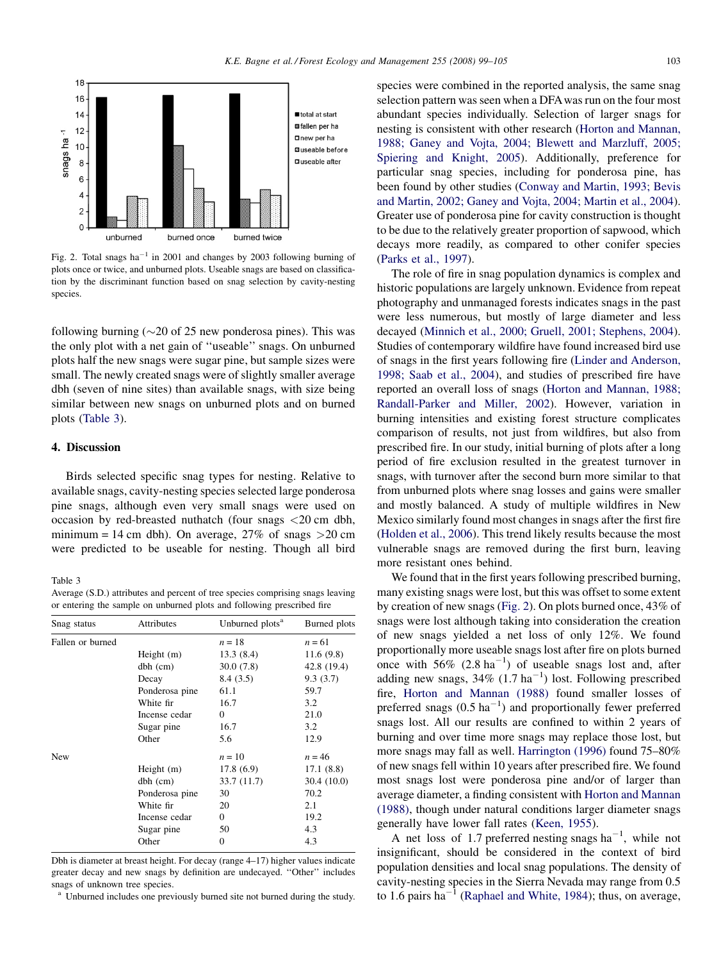<span id="page-4-0"></span>

Fig. 2. Total snags  $ha^{-1}$  in 2001 and changes by 2003 following burning of plots once or twice, and unburned plots. Useable snags are based on classification by the discriminant function based on snag selection by cavity-nesting species.

following burning ( $\sim$ 20 of 25 new ponderosa pines). This was the only plot with a net gain of ''useable'' snags. On unburned plots half the new snags were sugar pine, but sample sizes were small. The newly created snags were of slightly smaller average dbh (seven of nine sites) than available snags, with size being similar between new snags on unburned plots and on burned plots (Table 3).

## 4. Discussion

Birds selected specific snag types for nesting. Relative to available snags, cavity-nesting species selected large ponderosa pine snags, although even very small snags were used on occasion by red-breasted nuthatch (four snags <20 cm dbh, minimum = 14 cm dbh). On average,  $27\%$  of snags  $>20$  cm were predicted to be useable for nesting. Though all bird

#### Table 3

Average (S.D.) attributes and percent of tree species comprising snags leaving or entering the sample on unburned plots and following prescribed fire

| Snag status      | <b>Attributes</b> | Unburned plots <sup>a</sup> | Burned plots |
|------------------|-------------------|-----------------------------|--------------|
| Fallen or burned |                   | $n=18$                      | $n = 61$     |
|                  | Height $(m)$      | 13.3(8.4)                   | 11.6(9.8)    |
|                  | $dbh$ (cm)        | 30.0(7.8)                   | 42.8 (19.4)  |
|                  | Decay             | 8.4(3.5)                    | 9.3(3.7)     |
|                  | Ponderosa pine    | 61.1                        | 59.7         |
|                  | White fir         | 16.7                        | 3.2          |
|                  | Incense cedar     | $\Omega$                    | 21.0         |
|                  | Sugar pine        | 16.7                        | 3.2          |
|                  | Other             | 5.6                         | 12.9         |
| New              |                   | $n=10$                      | $n = 46$     |
|                  | Height $(m)$      | 17.8(6.9)                   | 17.1(8.8)    |
|                  | dbh (cm)          | 33.7(11.7)                  | 30.4(10.0)   |
|                  | Ponderosa pine    | 30                          | 70.2         |
|                  | White fir         | 20                          | 2.1          |
|                  | Incense cedar     | 0                           | 19.2         |
|                  | Sugar pine        | 50                          | 4.3          |
|                  | Other             | 0                           | 4.3          |

Dbh is diameter at breast height. For decay (range 4–17) higher values indicate greater decay and new snags by definition are undecayed. ''Other'' includes snags of unknown tree species.

<sup>a</sup> Unburned includes one previously burned site not burned during the study.

species were combined in the reported analysis, the same snag selection pattern was seen when a DFAwas run on the four most abundant species individually. Selection of larger snags for nesting is consistent with other research ([Horton and Mannan,](#page-5-0) [1988; Ganey and Vojta, 2004; Blewett and Marzluff, 2005;](#page-5-0) [Spiering and Knight, 2005](#page-5-0)). Additionally, preference for particular snag species, including for ponderosa pine, has been found by other studies ([Conway and Martin, 1993; Bevis](#page-5-0) [and Martin, 2002; Ganey and Vojta, 2004; Martin et al., 2004\)](#page-5-0). Greater use of ponderosa pine for cavity construction is thought to be due to the relatively greater proportion of sapwood, which decays more readily, as compared to other conifer species ([Parks et al., 1997](#page-6-0)).

The role of fire in snag population dynamics is complex and historic populations are largely unknown. Evidence from repeat photography and unmanaged forests indicates snags in the past were less numerous, but mostly of large diameter and less decayed ([Minnich et al., 2000; Gruell, 2001; Stephens, 2004\)](#page-6-0). Studies of contemporary wildfire have found increased bird use of snags in the first years following fire ([Linder and Anderson,](#page-5-0) [1998; Saab et al., 2004\)](#page-5-0), and studies of prescribed fire have reported an overall loss of snags ([Horton and Mannan, 1988;](#page-5-0) [Randall-Parker and Miller, 2002](#page-5-0)). However, variation in burning intensities and existing forest structure complicates comparison of results, not just from wildfires, but also from prescribed fire. In our study, initial burning of plots after a long period of fire exclusion resulted in the greatest turnover in snags, with turnover after the second burn more similar to that from unburned plots where snag losses and gains were smaller and mostly balanced. A study of multiple wildfires in New Mexico similarly found most changes in snags after the first fire ([Holden et al., 2006](#page-5-0)). This trend likely results because the most vulnerable snags are removed during the first burn, leaving more resistant ones behind.

We found that in the first years following prescribed burning, many existing snags were lost, but this was offset to some extent by creation of new snags (Fig. 2). On plots burned once, 43% of snags were lost although taking into consideration the creation of new snags yielded a net loss of only 12%. We found proportionally more useable snags lost after fire on plots burned once with  $56\%$   $(2.8 \text{ ha}^{-1})$  of useable snags lost and, after adding new snags,  $34\%$  (1.7 ha<sup>-1</sup>) lost. Following prescribed fire, [Horton and Mannan \(1988\)](#page-5-0) found smaller losses of preferred snags  $(0.5 \text{ ha}^{-1})$  and proportionally fewer preferred snags lost. All our results are confined to within 2 years of burning and over time more snags may replace those lost, but more snags may fall as well. [Harrington \(1996\)](#page-5-0) found 75–80% of new snags fell within 10 years after prescribed fire. We found most snags lost were ponderosa pine and/or of larger than average diameter, a finding consistent with [Horton and Mannan](#page-5-0) [\(1988\)](#page-5-0), though under natural conditions larger diameter snags generally have lower fall rates [\(Keen, 1955](#page-5-0)).

A net loss of 1.7 preferred nesting snags  $ha^{-1}$ , while not insignificant, should be considered in the context of bird population densities and local snag populations. The density of cavity-nesting species in the Sierra Nevada may range from 0.5 to 1.6 pairs  $ha^{-1}$  ([Raphael and White, 1984\)](#page-6-0); thus, on average,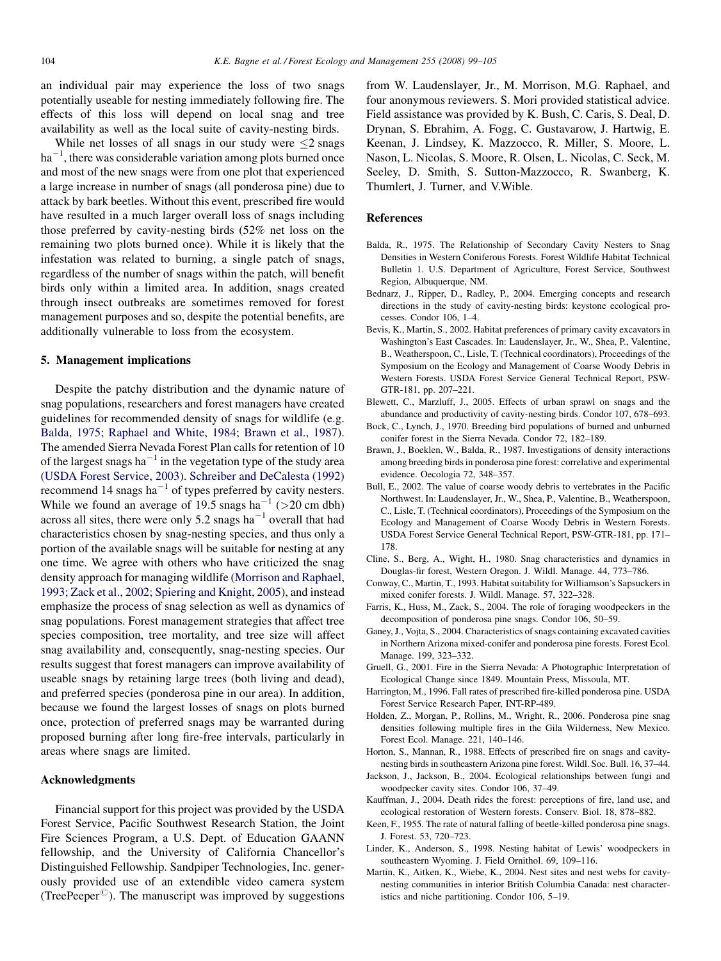<span id="page-5-0"></span>an individual pair may experience the loss of two snags potentially useable for nesting immediately following fire. The effects of this loss will depend on local snag and tree availability as well as the local suite of cavity-nesting birds.

While net losses of all snags in our study were  $\leq$ 2 snags ha<sup>-1</sup>, there was considerable variation among plots burned once and most of the new snags were from one plot that experienced a large increase in number of snags (all ponderosa pine) due to attack by bark beetles. Without this event, prescribed fire would have resulted in a much larger overall loss of snags including those preferred by cavity-nesting birds (52% net loss on the remaining two plots burned once). While it is likely that the infestation was related to burning, a single patch of snags, regardless of the number of snags within the patch, will benefit birds only within a limited area. In addition, snags created through insect outbreaks are sometimes removed for forest management purposes and so, despite the potential benefits, are additionally vulnerable to loss from the ecosystem.

#### 5. Management implications

Despite the patchy distribution and the dynamic nature of snag populations, researchers and forest managers have created guidelines for recommended density of snags for wildlife (e.g. Balda, 1975; Raphael and White, 1984; Brawn et al., 1987). The amended Sierra Nevada Forest Plan calls for retention of 10 of the largest snags ha<sup>-1</sup> in the vegetation type of the study area ([USDA Forest Service, 2003](#page-6-0)). [Schreiber and DeCalesta \(1992\)](#page-6-0) recommend  $14$  snags ha<sup>-1</sup> of types preferred by cavity nesters. While we found an average of 19.5 snags ha<sup> $-1$ </sup> (>20 cm dbh) across all sites, there were only  $5.2$  snags ha<sup>-1</sup> overall that had characteristics chosen by snag-nesting species, and thus only a portion of the available snags will be suitable for nesting at any one time. We agree with others who have criticized the snag density approach for managing wildlife [\(Morrison and Raphael,](#page-6-0) [1993; Zack et al., 2002; Spiering and Knight, 2005](#page-6-0)), and instead emphasize the process of snag selection as well as dynamics of snag populations. Forest management strategies that affect tree species composition, tree mortality, and tree size will affect snag availability and, consequently, snag-nesting species. Our results suggest that forest managers can improve availability of useable snags by retaining large trees (both living and dead), and preferred species (ponderosa pine in our area). In addition, because we found the largest losses of snags on plots burned once, protection of preferred snags may be warranted during proposed burning after long fire-free intervals, particularly in areas where snags are limited.

#### Acknowledgments

Financial support for this project was provided by the USDA Forest Service, Pacific Southwest Research Station, the Joint Fire Sciences Program, a U.S. Dept. of Education GAANN fellowship, and the University of California Chancellor's Distinguished Fellowship. Sandpiper Technologies, Inc. generously provided use of an extendible video camera system (TreePeeper $\mathbb{C}$ ). The manuscript was improved by suggestions

from W. Laudenslayer, Jr., M. Morrison, M.G. Raphael, and four anonymous reviewers. S. Mori provided statistical advice. Field assistance was provided by K. Bush, C. Caris, S. Deal, D. Drynan, S. Ebrahim, A. Fogg, C. Gustavarow, J. Hartwig, E. Keenan, J. Lindsey, K. Mazzocco, R. Miller, S. Moore, L. Nason, L. Nicolas, S. Moore, R. Olsen, L. Nicolas, C. Seck, M. Seeley, D. Smith, S. Sutton-Mazzocco, R. Swanberg, K. Thumlert, J. Turner, and V.Wible.

# References

- Balda, R., 1975. The Relationship of Secondary Cavity Nesters to Snag Densities in Western Coniferous Forests. Forest Wildlife Habitat Technical Bulletin 1. U.S. Department of Agriculture, Forest Service, Southwest Region, Albuquerque, NM.
- Bednarz, J., Ripper, D., Radley, P., 2004. Emerging concepts and research directions in the study of cavity-nesting birds: keystone ecological processes. Condor 106, 1–4.
- Bevis, K., Martin, S., 2002. Habitat preferences of primary cavity excavators in Washington's East Cascades. In: Laudenslayer, Jr., W., Shea, P., Valentine, B., Weatherspoon, C., Lisle, T. (Technical coordinators), Proceedings of the Symposium on the Ecology and Management of Coarse Woody Debris in Western Forests. USDA Forest Service General Technical Report, PSW-GTR-181, pp. 207–221.
- Blewett, C., Marzluff, J., 2005. Effects of urban sprawl on snags and the abundance and productivity of cavity-nesting birds. Condor 107, 678–693.
- Bock, C., Lynch, J., 1970. Breeding bird populations of burned and unburned conifer forest in the Sierra Nevada. Condor 72, 182–189.
- Brawn, J., Boeklen, W., Balda, R., 1987. Investigations of density interactions among breeding birds in ponderosa pine forest: correlative and experimental evidence. Oecologia 72, 348–357.
- Bull, E., 2002. The value of coarse woody debris to vertebrates in the Pacific Northwest. In: Laudenslayer, Jr., W., Shea, P., Valentine, B., Weatherspoon, C., Lisle, T. (Technical coordinators), Proceedings of the Symposium on the Ecology and Management of Coarse Woody Debris in Western Forests. USDA Forest Service General Technical Report, PSW-GTR-181, pp. 171– 178.
- Cline, S., Berg, A., Wight, H., 1980. Snag characteristics and dynamics in Douglas-fir forest, Western Oregon. J. Wildl. Manage. 44, 773–786.
- Conway, C., Martin, T., 1993. Habitat suitability for Williamson's Sapsuckers in mixed conifer forests. J. Wildl. Manage. 57, 322–328.
- Farris, K., Huss, M., Zack, S., 2004. The role of foraging woodpeckers in the decomposition of ponderosa pine snags. Condor 106, 50–59.
- Ganey, J., Vojta, S., 2004. Characteristics of snags containing excavated cavities in Northern Arizona mixed-conifer and ponderosa pine forests. Forest Ecol. Manage. 199, 323–332.
- Gruell, G., 2001. Fire in the Sierra Nevada: A Photographic Interpretation of Ecological Change since 1849. Mountain Press, Missoula, MT.
- Harrington, M., 1996. Fall rates of prescribed fire-killed ponderosa pine. USDA Forest Service Research Paper, INT-RP-489.
- Holden, Z., Morgan, P., Rollins, M., Wright, R., 2006. Ponderosa pine snag densities following multiple fires in the Gila Wilderness, New Mexico. Forest Ecol. Manage. 221, 140–146.
- Horton, S., Mannan, R., 1988. Effects of prescribed fire on snags and cavitynesting birds in southeastern Arizona pine forest. Wildl. Soc. Bull. 16, 37–44.
- Jackson, J., Jackson, B., 2004. Ecological relationships between fungi and woodpecker cavity sites. Condor 106, 37–49.
- Kauffman, J., 2004. Death rides the forest: perceptions of fire, land use, and ecological restoration of Western forests. Conserv. Biol. 18, 878–882.
- Keen, F., 1955. The rate of natural falling of beetle-killed ponderosa pine snags. J. Forest. 53, 720–723.
- Linder, K., Anderson, S., 1998. Nesting habitat of Lewis' woodpeckers in southeastern Wyoming. J. Field Ornithol. 69, 109–116.
- Martin, K., Aitken, K., Wiebe, K., 2004. Nest sites and nest webs for cavitynesting communities in interior British Columbia Canada: nest characteristics and niche partitioning. Condor 106, 5–19.